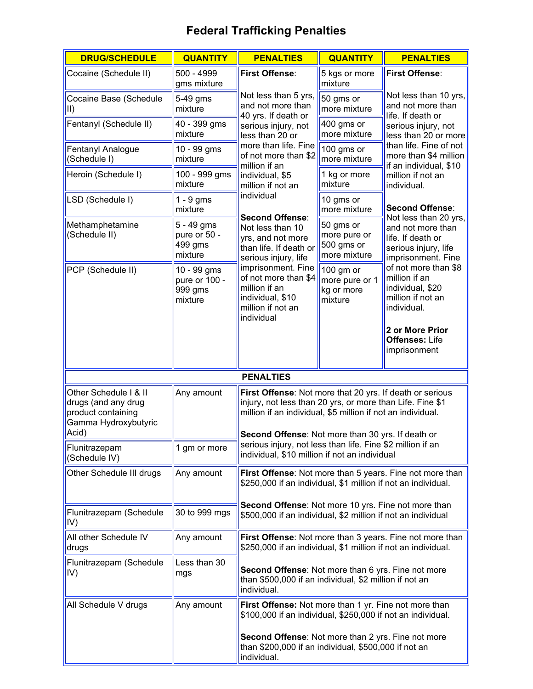## **Federal Trafficking Penalties**

| <b>DRUG/SCHEDULE</b>                                                                                | <b>QUANTITY</b>                                    | <b>PENALTIES</b>                                                                                                                                                                                                                          | <b>QUANTITY</b>                                         | <b>PENALTIES</b>                                                                              |  |
|-----------------------------------------------------------------------------------------------------|----------------------------------------------------|-------------------------------------------------------------------------------------------------------------------------------------------------------------------------------------------------------------------------------------------|---------------------------------------------------------|-----------------------------------------------------------------------------------------------|--|
| Cocaine (Schedule II)                                                                               | 500 - 4999<br>gms mixture                          | <b>First Offense:</b>                                                                                                                                                                                                                     | 5 kgs or more<br>mixture                                | <b>First Offense:</b>                                                                         |  |
| Cocaine Base (Schedule<br>$\mathsf{II}$                                                             | 5-49 gms<br>mixture                                | Not less than 5 yrs,<br>and not more than<br>40 yrs. If death or                                                                                                                                                                          | 50 gms or<br>more mixture                               | Not less than 10 yrs,<br>and not more than<br>life. If death or                               |  |
| Fentanyl (Schedule II)                                                                              | 40 - 399 gms<br>mixture                            | serious injury, not<br>less than 20 or                                                                                                                                                                                                    | 400 gms or<br>more mixture                              | serious injury, not<br>less than 20 or more                                                   |  |
| Fentanyl Analogue<br>(Schedule I)                                                                   | 10 - 99 gms<br>mixture                             | more than life. Fine<br>of not more than \$2<br>million if an                                                                                                                                                                             | 100 gms or<br>more mixture                              | than life. Fine of not<br>more than \$4 million<br>if an individual, \$10                     |  |
| Heroin (Schedule I)                                                                                 | 100 - 999 gms<br>mixture                           | individual, \$5<br>million if not an                                                                                                                                                                                                      | 1 kg or more<br>mixture                                 | million if not an<br>individual.                                                              |  |
| LSD (Schedule I)                                                                                    | $1 - 9$ gms<br>mixture                             | individual<br>Second Offense:                                                                                                                                                                                                             | 10 gms or<br>more mixture                               | <b>Second Offense:</b><br>Not less than 20 yrs,                                               |  |
| Methamphetamine<br>(Schedule II)                                                                    | 5 - 49 gms<br>pure or 50 -<br>499 gms<br>mixture   | Not less than 10<br>yrs, and not more<br>than life. If death or<br>serious injury, life                                                                                                                                                   | 50 gms or<br>more pure or<br>500 gms or<br>more mixture | and not more than<br>life. If death or<br>serious injury, life<br>imprisonment. Fine          |  |
| PCP (Schedule II)                                                                                   | 10 - 99 gms<br>pure or 100 -<br>999 gms<br>mixture | imprisonment. Fine<br>of not more than \$4<br>million if an<br>individual, \$10<br>million if not an<br>individual                                                                                                                        | 100 gm or<br>more pure or 1<br>kg or more<br>mixture    | of not more than \$8<br>million if an<br>individual, \$20<br>million if not an<br>individual. |  |
|                                                                                                     |                                                    |                                                                                                                                                                                                                                           |                                                         | 2 or More Prior<br><b>Offenses: Life</b><br>imprisonment                                      |  |
| <b>PENALTIES</b>                                                                                    |                                                    |                                                                                                                                                                                                                                           |                                                         |                                                                                               |  |
| Other Schedule I & II<br>drugs (and any drug<br>product containing<br>Gamma Hydroxybutyric<br>Acid) | Any amount                                         | First Offense: Not more that 20 yrs. If death or serious<br>injury, not less than 20 yrs, or more than Life. Fine \$1<br>million if an individual, \$5 million if not an individual.<br>Second Offense: Not more than 30 yrs. If death or |                                                         |                                                                                               |  |
| Flunitrazepam<br>(Schedule IV)                                                                      | 1 gm or more                                       | serious injury, not less than life. Fine \$2 million if an<br>individual, \$10 million if not an individual                                                                                                                               |                                                         |                                                                                               |  |
| Other Schedule III drugs                                                                            | Any amount                                         | \$250,000 if an individual, \$1 million if not an individual.                                                                                                                                                                             |                                                         | First Offense: Not more than 5 years. Fine not more than                                      |  |
| Flunitrazepam (Schedule<br>IV)                                                                      | 30 to 999 mgs                                      | Second Offense: Not more 10 yrs. Fine not more than<br>\$500,000 if an individual, \$2 million if not an individual                                                                                                                       |                                                         |                                                                                               |  |
| All other Schedule IV<br>drugs                                                                      | Any amount                                         | \$250,000 if an individual, \$1 million if not an individual.                                                                                                                                                                             |                                                         | First Offense: Not more than 3 years. Fine not more than                                      |  |
| Flunitrazepam (Schedule<br>IV)                                                                      | Less than 30<br>mgs                                | Second Offense: Not more than 6 yrs. Fine not more<br>than \$500,000 if an individual, \$2 million if not an<br>individual.                                                                                                               |                                                         |                                                                                               |  |
| All Schedule V drugs                                                                                | Any amount                                         | First Offense: Not more than 1 yr. Fine not more than<br>\$100,000 if an individual, \$250,000 if not an individual.                                                                                                                      |                                                         |                                                                                               |  |
|                                                                                                     |                                                    | Second Offense: Not more than 2 yrs. Fine not more<br>than \$200,000 if an individual, \$500,000 if not an<br>individual.                                                                                                                 |                                                         |                                                                                               |  |